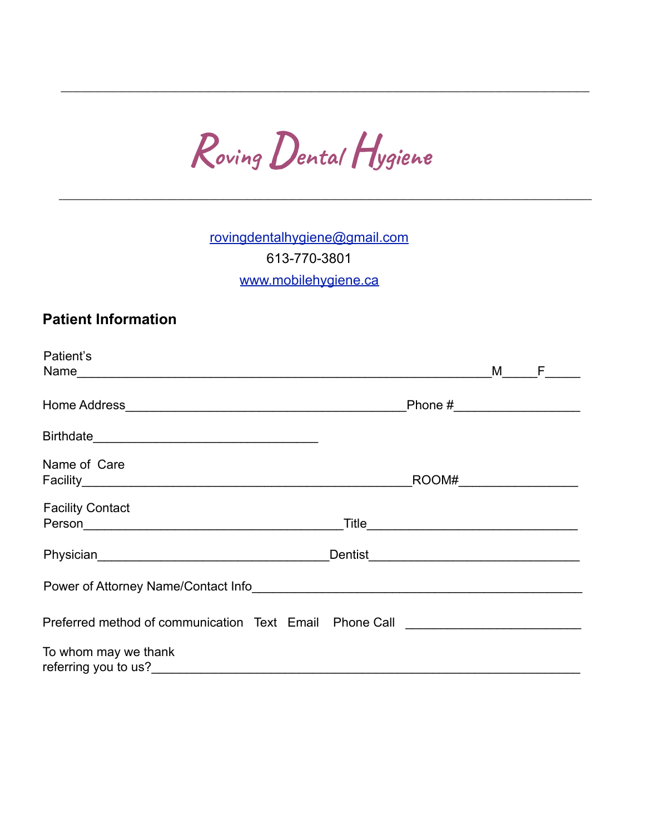Roving Dental Hygiene

rovingdentalhygiene@gmail.com 613-770-3801 www.mobilehygiene.ca

## **Patient Information**

| Patient's                                                                   |  |     |
|-----------------------------------------------------------------------------|--|-----|
|                                                                             |  | M F |
|                                                                             |  |     |
|                                                                             |  |     |
|                                                                             |  |     |
| Name of Care                                                                |  |     |
|                                                                             |  |     |
| <b>Facility Contact</b>                                                     |  |     |
|                                                                             |  |     |
|                                                                             |  |     |
| Power of Attorney Name/Contact Info                                         |  |     |
| Preferred method of communication Text Email Phone Call <b>Example 2018</b> |  |     |
| To whom may we thank<br>referring you to us?<br><u>Example 2008</u>         |  |     |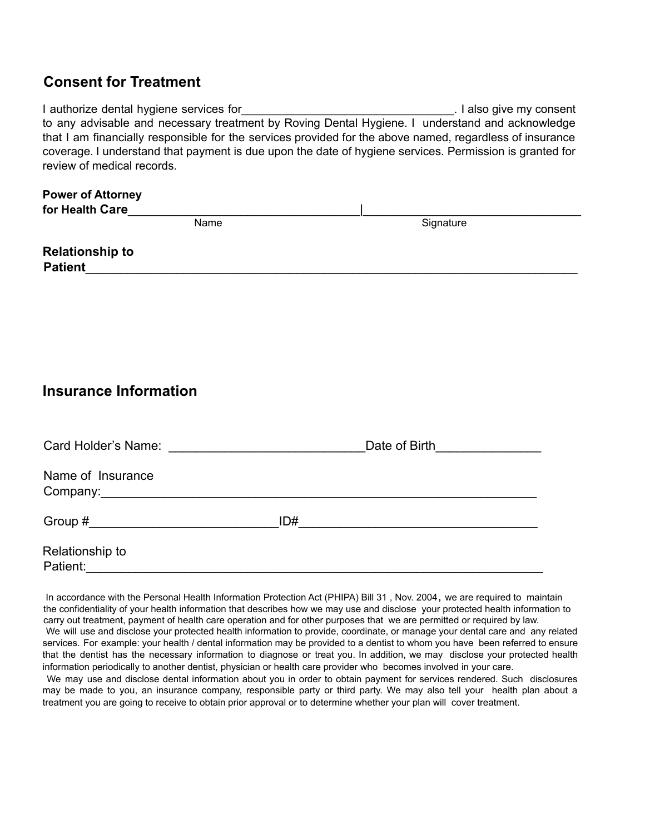## **Consent for Treatment**

| I authorize dental hygiene services for                                                                  | . I also give my consent |
|----------------------------------------------------------------------------------------------------------|--------------------------|
| to any advisable and necessary treatment by Roving Dental Hygiene. I understand and acknowledge          |                          |
| that I am financially responsible for the services provided for the above named, regardless of insurance |                          |
| coverage. I understand that payment is due upon the date of hygiene services. Permission is granted for  |                          |
| review of medical records.                                                                               |                          |

| <b>Power of Attorney</b> |      |           |
|--------------------------|------|-----------|
| for Health Care          |      |           |
|                          | Name | Signature |
| <b>Relationship to</b>   |      |           |
| <b>Patient</b>           |      |           |

## **Insurance Information**

| Card Holder's Name:                                      | Date of Birth<br><u> 1980 - Jan Barat, martin a</u> |  |
|----------------------------------------------------------|-----------------------------------------------------|--|
| Name of Insurance                                        |                                                     |  |
| Group #<br><u> 1980 - Jan Barbara Barbara, maso a se</u> | ID#                                                 |  |
| Relationship to<br>Patient:                              |                                                     |  |

In accordance with the Personal Health Information Protection Act (PHIPA) Bill 31 , Nov. 2004, we are required to maintain the confidentiality of your health information that describes how we may use and disclose your protected health information to carry out treatment, payment of health care operation and for other purposes that we are permitted or required by law. We will use and disclose your protected health information to provide, coordinate, or manage your dental care and any related services. For example: your health / dental information may be provided to a dentist to whom you have been referred to ensure that the dentist has the necessary information to diagnose or treat you. In addition, we may disclose your protected health information periodically to another dentist, physician or health care provider who becomes involved in your care.

We may use and disclose dental information about you in order to obtain payment for services rendered. Such disclosures may be made to you, an insurance company, responsible party or third party. We may also tell your health plan about a treatment you are going to receive to obtain prior approval or to determine whether your plan will cover treatment.